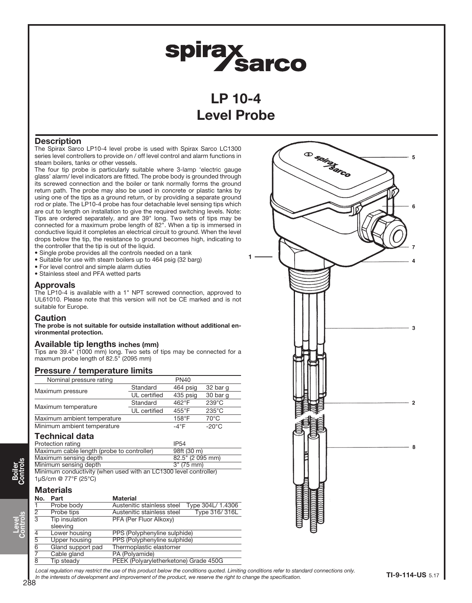# **spirax<br>Sarco**

LP 10-4 Level Probe

## **Description**

The Spirax Sarco LP10-4 level probe is used with Spirax Sarco LC1300 series level controllers to provide on / off level control and alarm functions in steam boilers, tanks or other vessels.

The four tip probe is particularly suitable where 3-lamp 'electric gauge glass' alarm/ level indicators are fitted. The probe body is grounded through its screwed connection and the boiler or tank normally forms the ground return path. The probe may also be used in concrete or plastic tanks by using one of the tips as a ground return, or by providing a separate ground rod or plate. The LP10-4 probe has four detachable level sensing tips which are cut to length on installation to give the required switching levels. Note: Tips are ordered separately, and are 39" long. Two sets of tips may be connected for a maximum probe length of 82". When a tip is immersed in conductive liquid it completes an electrical circuit to ground. When the level drops below the tip, the resistance to ground becomes high, indicating to the controller that the tip is out of the liquid.

- Single probe provides all the controls needed on a tank
- Suitable for use with steam boilers up to 464 psig (32 barg)
- For level control and simple alarm duties
- Stainless steel and PFA wetted parts

#### Approvals

The LP10-4 is available with a 1" NPT screwed connection, approved to UL61010. Please note that this version will not be CE marked and is not suitable for Europe.

#### Caution

The probe is not suitable for outside installation without additional environmental protection.

### Available tip lengths inches (mm)

Tips are 39.4" (1000 mm) long. Two sets of tips may be connected for a maxmum probe length of 82.5" (2095 mm)

| Pressure / temperature limits                                    |              |                  |                 |
|------------------------------------------------------------------|--------------|------------------|-----------------|
| Nominal pressure rating                                          |              | <b>PN40</b>      |                 |
| Maximum pressure                                                 | Standard     | 464 psig         | 32 bar g        |
|                                                                  | UL certified | 435 psig         | 30 bar q        |
| Maximum temperature                                              | Standard     | $462^{\circ}$ F  | $239^{\circ}$ C |
|                                                                  | UL certified | $455^{\circ}$ F  | $235^{\circ}$ C |
| Maximum ambient temperature                                      |              | $158^{\circ}$ F  | $70^{\circ}$ C  |
| Minimum ambient temperature                                      |              | $-4^{\circ}$ F   | $-20^{\circ}$ C |
| <b>Technical data</b>                                            |              |                  |                 |
| Protection rating                                                |              | <b>IP54</b>      |                 |
| Maximum cable length (probe to controller)                       |              | 98ft (30 m)      |                 |
| Maximum sensing depth                                            |              | 82.5" (2 095 mm) |                 |
| Minimum sensing depth                                            |              | 3" (75 mm)       |                 |
| Minimum conductivity (when used with an LC1300 level controller) |              |                  |                 |
| 1µS/cm @ 77°F (25°C)                                             |              |                  |                 |
| <b>Materials</b>                                                 |              |                  |                 |

#### No. Part Material<br>1 Probe body Austenitie Austenitic stainless steel Type 304L/ 1.4306 Probe tips **Austenitic stainless steel Type 316/ 316L** Tip insulation PFA (Per Fluor Alkoxy) sleeving Lower housing PPS (Polyphenyline sulphide) Upper housing PPS (Polyphenyline sulphide) Gland support pad Thermoplastic elastomer Cable gland PA (Polyamide) 8 Tip steady PEEK (Polyaryletherketone) Grade 450G



288 Local requlation may restrict the use of this product below the conditions quoted. Limiting conditions refer to standard connections only. In the interests of development and improvement of the product, we reserve the right to change the specification.